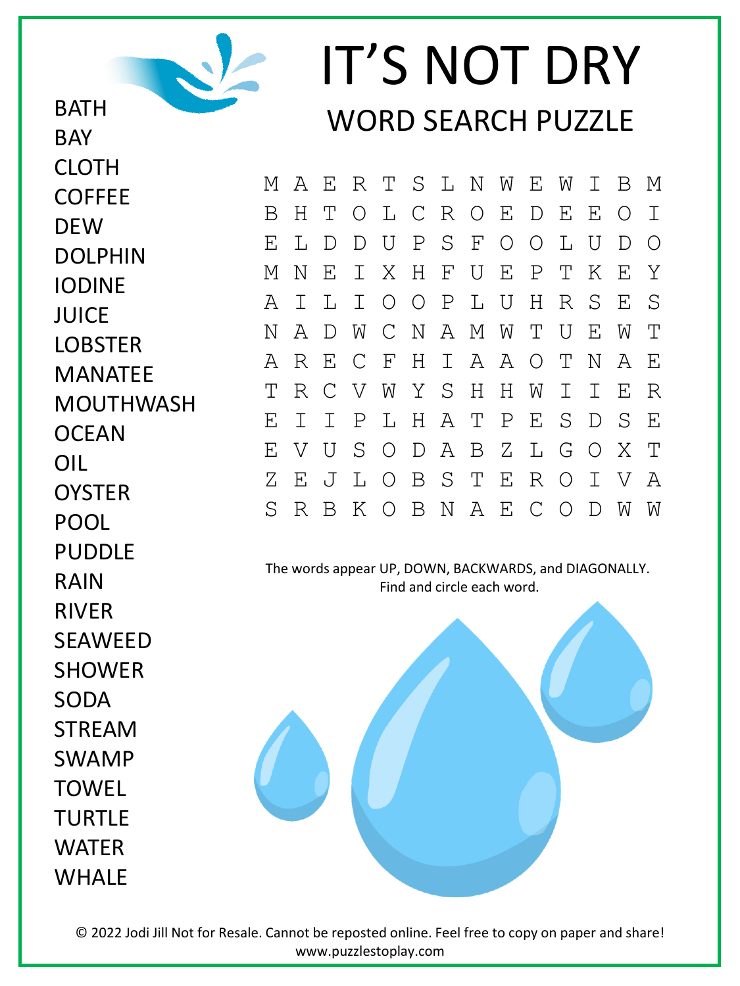

## IT'S NOT DRY WORD SEARCH PUZZLE

M A E R T S L N W E W I B M B H T O L C R O E D E E O I E L D D U P S F O O L U D O M N E I X H F U E P T K E Y A I L I O O P L U H R S E S N A D W C N A M W T U E W T A R E C F H I A A O T N A E T R C V W Y S H H W I I E R E I I P L H A T P E S D S E E V U S O D A B Z L G O X T Z E J L O B S T E R O I V A S R B K O B N A E C O D W W

The words appear UP, DOWN, BACKWARDS, and DIAGONALLY. Find and circle each word.

**DEW** DOLPHIN IODINE JUICE **LOBSTER** MANATEE MOUTHWASH **OCEAN** OIL **OYSTER** POOL PUDDLE RAIN RIVER **SFAWFFD** SHOWER SODA STREAM SWAMP **TOWFL** TURTLE WATER

WHAI F

**BAY** 

CLOTH

**COFFFE** 

© 2022 Jodi Jill Not for Resale. Cannot be reposted online. Feel free to copy on paper and share! www.puzzlestoplay.com